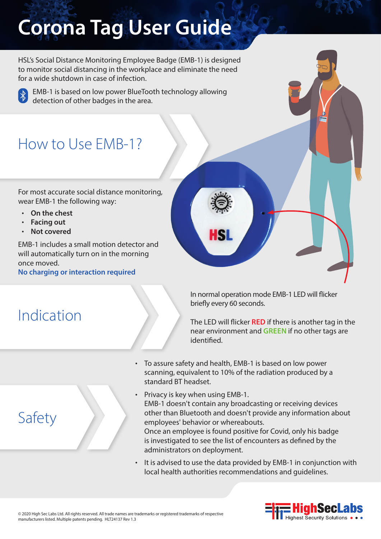# **Corona Tag User Guide**

HSL's Social Distance Monitoring Employee Badge (EMB-1) is designed to monitor social distancing in the workplace and eliminate the need for a wide shutdown in case of infection.



EMB-1 is based on low power BlueTooth technology allowing detection of other badges in the area.

# How to Use EMB-1?

For most accurate social distance monitoring, wear EMB-1 the following way:

- **On the chest**
- **Facing out**
- **Not covered**

EMB-1 includes a small motion detector and will automatically turn on in the morning once moved.

**No charging or interaction required**

# Indication

Safety



The LED will flicker **RED** if there is another tag in the near environment and **GREEN** if no other tags are identified.

• To assure safety and health, EMB-1 is based on low power scanning, equivalent to 10% of the radiation produced by a standard BT headset.

HSI

- Privacy is key when using EMB-1. EMB-1 doesn't contain any broadcasting or receiving devices other than Bluetooth and doesn't provide any information about employees' behavior or whereabouts. Once an employee is found positive for Covid, only his badge is investigated to see the list of encounters as defined by the administrators on deployment.
- It is advised to use the data provided by EMB-1 in conjunction with local health authorities recommendations and guidelines.